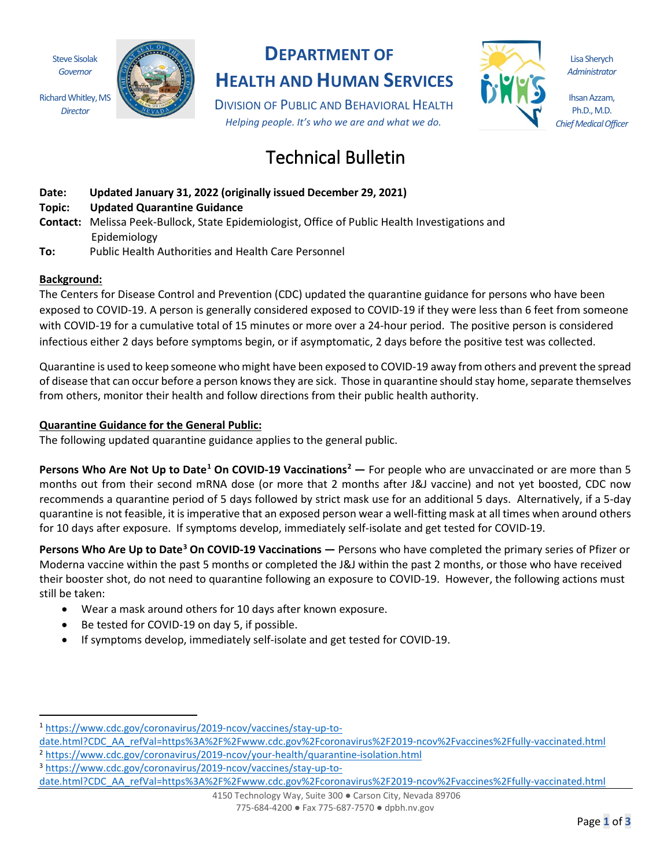Steve Sisolak *Governor*

Richard Whitley, MS *Director*



## **DEPARTMENT OF**

**HEALTH AND HUMAN SERVICES**

DIVISION OF PUBLIC AND BEHAVIORAL HEALTH *Helping people. It's who we are and what we do.*

# Technical Bulletin

- **Date: Updated January 31, 2022 (originally issued December 29, 2021)**
- **Topic: Updated Quarantine Guidance**
- **Contact:** Melissa Peek-Bullock, State Epidemiologist, Office of Public Health Investigations and Epidemiology
- **To:** Public Health Authorities and Health Care Personnel

### **Background:**

The Centers for Disease Control and Prevention (CDC) updated the quarantine guidance for persons who have been exposed to COVID-19. A person is generally considered exposed to COVID-19 if they were less than 6 feet from someone with COVID-19 for a cumulative total of 15 minutes or more over a 24-hour period. The positive person is considered infectious either 2 days before symptoms begin, or if asymptomatic, 2 days before the positive test was collected.

Quarantine is used to keep someone who might have been exposed to COVID-19 away from others and prevent the spread of disease that can occur before a person knows they are sick. Those in quarantine should stay home, separate themselves from others, monitor their health and follow directions from their public health authority.

#### **Quarantine Guidance for the General Public:**

The following updated quarantine guidance applies to the general public.

**Persons Who Are Not Up to Date[1](#page-0-0) On COVID-19 Vaccinations[2](#page-0-1) —** For people who are unvaccinated or are more than 5 months out from their second mRNA dose (or more that 2 months after J&J vaccine) and not yet boosted, CDC now recommends a quarantine period of 5 days followed by strict mask use for an additional 5 days. Alternatively, if a 5-day quarantine is not feasible, it is imperative that an exposed person wear a well-fitting mask at all times when around others for 10 days after exposure. If symptoms develop, immediately self-isolate and get tested for COVID-19.

**Persons Who Are Up to Date[3](#page-0-2) On COVID-19 Vaccinations —** Persons who have completed the primary series of Pfizer or Moderna vaccine within the past 5 months or completed the J&J within the past 2 months, or those who have received their booster shot, do not need to quarantine following an exposure to COVID-19. However, the following actions must still be taken:

- Wear a mask around others for 10 days after known exposure.
- Be tested for COVID-19 on day 5, if possible.
- If symptoms develop, immediately self-isolate and get tested for COVID-19.

<span id="page-0-2"></span>

date.ht[ml?CDC\\_AA\\_refVal=https%3A%2F%2Fwww.cdc.gov%2Fcoronavirus%2F2019](https://www.cdc.gov/coronavirus/2019-ncov/vaccines/stay-up-to-date.html?CDC_AA_refVal=https%3A%2F%2Fwww.cdc.gov%2Fcoronavirus%2F2019-ncov%2Fvaccines%2Ffully-vaccinated.html)-ncov%2Fvaccines%2Ffully-vaccinated.html

4150 Technology Way, Suite 300 ● Carson City, Nevada 89706 775-684-4200 ● Fax 775-687-7570 ● dpbh.nv.gov



Lisa Sherych *Administrator*

Ihsan Azzam, Ph.D., M.D. *Chief Medical Officer*

<span id="page-0-0"></span><sup>1</sup> [https://www.cdc.gov/coronavirus/2019-ncov/vaccines/stay-up-to-](https://www.cdc.gov/coronavirus/2019-ncov/vaccines/stay-up-to-date.html?CDC_AA_refVal=https%3A%2F%2Fwww.cdc.gov%2Fcoronavirus%2F2019-ncov%2Fvaccines%2Ffully-vaccinated.html)

<span id="page-0-1"></span>date.ht[ml?CDC\\_AA\\_refVal=https%3A%2F%2Fwww.cdc.gov%2Fcoronavirus%2F2019](https://www.cdc.gov/coronavirus/2019-ncov/vaccines/stay-up-to-date.html?CDC_AA_refVal=https%3A%2F%2Fwww.cdc.gov%2Fcoronavirus%2F2019-ncov%2Fvaccines%2Ffully-vaccinated.html)-ncov%2Fvaccines%2Ffully-vaccinated.html <sup>2</sup> https://www.cdc.gov/coronavirus/2019-ncov/your-health/quarantine-isolation.html<br><sup>3</sup> [https://www.cdc.gov/coronavirus/2019-ncov/vaccines/stay-up-to-](https://www.cdc.gov/coronavirus/2019-ncov/vaccines/stay-up-to-date.html?CDC_AA_refVal=https%3A%2F%2Fwww.cdc.gov%2Fcoronavirus%2F2019-ncov%2Fvaccines%2Ffully-vaccinated.html)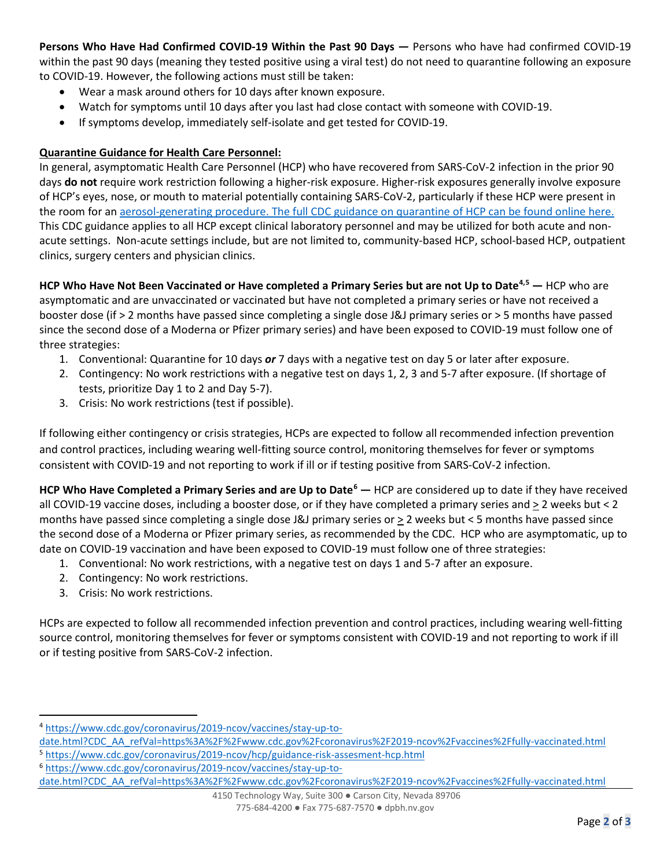**Persons Who Have Had Confirmed COVID-19 Within the Past 90 Days —** Persons who have had confirmed COVID-19 within the past 90 days (meaning they tested positive using a viral test) do not need to quarantine following an exposure to COVID-19. However, the following actions must still be taken:

- Wear a mask around others for 10 days after known exposure.
- Watch for symptoms until 10 days after you last had close contact with someone with COVID-19.
- If symptoms develop, immediately self-isolate and get tested for COVID-19.

#### **Quarantine Guidance for Health Care Personnel:**

In general, asymptomatic Health Care Personnel (HCP) who have recovered from SARS-CoV-2 infection in the prior 90 days **do not** require work restriction following a higher-risk exposure. Higher-risk exposures generally involve exposure of HCP's eyes, nose, or mouth to material potentially containing SARS-CoV-2, particularly if these HCP were present in the room for an [aerosol-generating procedure.](https://www.cdc.gov/coronavirus/2019-ncov/hcp/faq.html) [The full CDC guidance on quarantine of HCP can be found online here.](https://www.cdc.gov/coronavirus/2019-ncov/hcp/guidance-risk-assesment-hcp.html) This CDC guidance applies to all HCP except clinical laboratory personnel and may be utilized for both acute and nonacute settings. Non-acute settings include, but are not limited to, community-based HCP, school-based HCP, outpatient clinics, surgery centers and physician clinics.

**HCP Who Have Not Been Vaccinated or Have completed a Primary Series but are not Up to Date[4,](#page-1-0)[5](#page-1-1) —** HCP who are asymptomatic and are unvaccinated or vaccinated but have not completed a primary series or have not received a booster dose (if > 2 months have passed since completing a single dose J&J primary series or > 5 months have passed since the second dose of a Moderna or Pfizer primary series) and have been exposed to COVID-19 must follow one of three strategies:

- 1. Conventional: Quarantine for 10 days *or* 7 days with a negative test on day 5 or later after exposure.
- 2. Contingency: No work restrictions with a negative test on days 1, 2, 3 and 5-7 after exposure. (If shortage of tests, prioritize Day 1 to 2 and Day 5-7).
- 3. Crisis: No work restrictions (test if possible).

If following either contingency or crisis strategies, HCPs are expected to follow all recommended infection prevention and control practices, including wearing well-fitting source control, monitoring themselves for fever or symptoms consistent with COVID-19 and not reporting to work if ill or if testing positive from SARS-CoV-2 infection.

**HCP Who Have Completed a Primary Series and are Up to Date[6](#page-1-2) —** HCP are considered up to date if they have received all COVID-19 vaccine doses, including a booster dose, or if they have completed a primary series and > 2 weeks but < 2 months have passed since completing a single dose J&J primary series or > 2 weeks but < 5 months have passed since the second dose of a Moderna or Pfizer primary series, as recommended by the CDC. HCP who are asymptomatic, up to date on COVID-19 vaccination and have been exposed to COVID-19 must follow one of three strategies:

- 1. Conventional: No work restrictions, with a negative test on days 1 and 5-7 after an exposure.
- 2. Contingency: No work restrictions.
- 3. Crisis: No work restrictions.

HCPs are expected to follow all recommended infection prevention and control practices, including wearing well-fitting source control, monitoring themselves for fever or symptoms consistent with COVID-19 and not reporting to work if ill or if testing positive from SARS-CoV-2 infection.

<span id="page-1-0"></span><sup>4</sup> [https://www.cdc.gov/coronavirus/2019-ncov/vaccines/stay-up-to-](https://www.cdc.gov/coronavirus/2019-ncov/vaccines/stay-up-to-date.html?CDC_AA_refVal=https%3A%2F%2Fwww.cdc.gov%2Fcoronavirus%2F2019-ncov%2Fvaccines%2Ffully-vaccinated.html)

<span id="page-1-1"></span>[date.html?CDC\\_AA\\_refVal=https%3A%2F%2Fwww.cdc.gov%2Fcoronavirus%2F2019](https://www.cdc.gov/coronavirus/2019-ncov/vaccines/stay-up-to-date.html?CDC_AA_refVal=https%3A%2F%2Fwww.cdc.gov%2Fcoronavirus%2F2019-ncov%2Fvaccines%2Ffully-vaccinated.html)-ncov%2Fvaccines%2Ffully-vaccinated.html <sup>5</sup> <https://www.cdc.gov/coronavirus/2019-ncov/hcp/guidance-risk-assesment-hcp.html>

<span id="page-1-2"></span><sup>6</sup> [https://www.cdc.gov/coronavirus/2019-ncov/vaccines/stay-up-to-](https://www.cdc.gov/coronavirus/2019-ncov/vaccines/stay-up-to-date.html?CDC_AA_refVal=https%3A%2F%2Fwww.cdc.gov%2Fcoronavirus%2F2019-ncov%2Fvaccines%2Ffully-vaccinated.html)

[date.html?CDC\\_AA\\_refVal=https%3A%2F%2Fwww.cdc.gov%2Fcoronavirus%2F2019](https://www.cdc.gov/coronavirus/2019-ncov/vaccines/stay-up-to-date.html?CDC_AA_refVal=https%3A%2F%2Fwww.cdc.gov%2Fcoronavirus%2F2019-ncov%2Fvaccines%2Ffully-vaccinated.html)-ncov%2Fvaccines%2Ffully-vaccinated.html